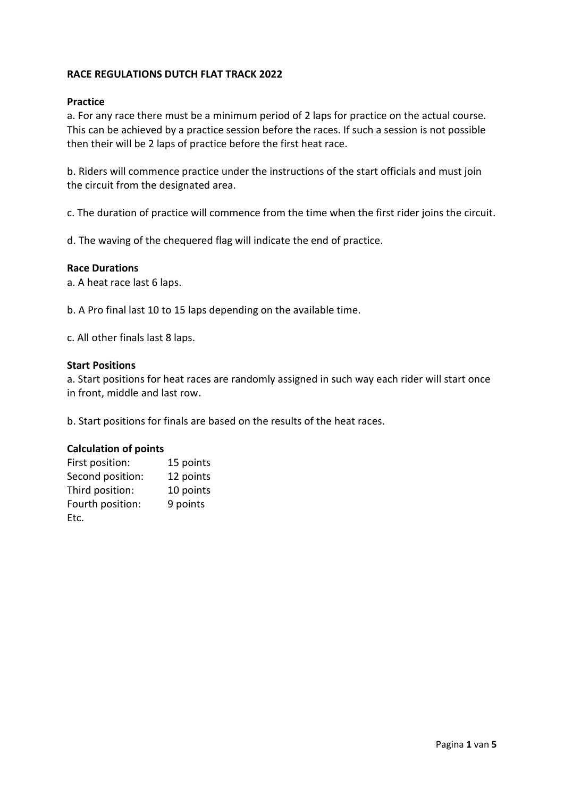## **RACE REGULATIONS DUTCH FLAT TRACK 2022**

### **Practice**

a. For any race there must be a minimum period of 2 laps for practice on the actual course. This can be achieved by a practice session before the races. If such a session is not possible then their will be 2 laps of practice before the first heat race.

b. Riders will commence practice under the instructions of the start officials and must join the circuit from the designated area.

c. The duration of practice will commence from the time when the first rider joins the circuit.

d. The waving of the chequered flag will indicate the end of practice.

## **Race Durations**

a. A heat race last 6 laps.

b. A Pro final last 10 to 15 laps depending on the available time.

c. All other finals last 8 laps.

### **Start Positions**

a. Start positions for heat races are randomly assigned in such way each rider will start once in front, middle and last row.

b. Start positions for finals are based on the results of the heat races.

## **Calculation of points**

| First position:  | 15 points |
|------------------|-----------|
| Second position: | 12 points |
| Third position:  | 10 points |
| Fourth position: | 9 points  |
| Etc.             |           |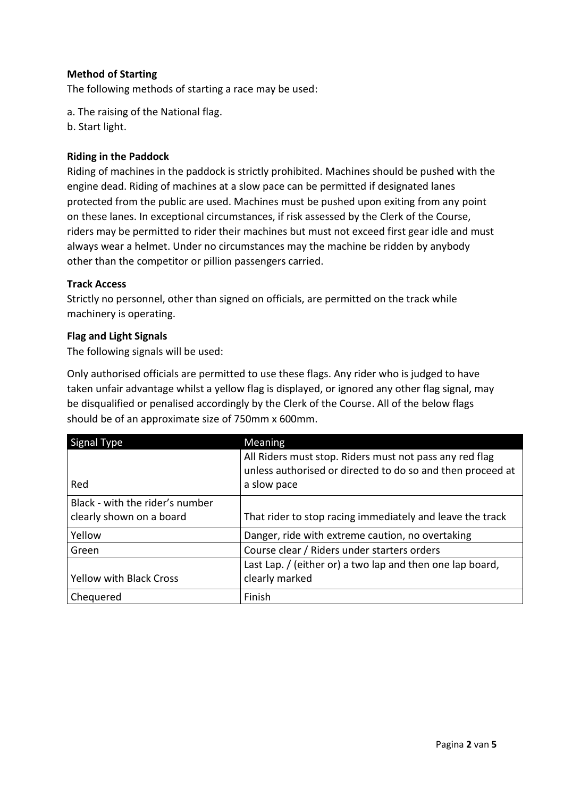# **Method of Starting**

The following methods of starting a race may be used:

- a. The raising of the National flag.
- b. Start light.

# **Riding in the Paddock**

Riding of machines in the paddock is strictly prohibited. Machines should be pushed with the engine dead. Riding of machines at a slow pace can be permitted if designated lanes protected from the public are used. Machines must be pushed upon exiting from any point on these lanes. In exceptional circumstances, if risk assessed by the Clerk of the Course, riders may be permitted to rider their machines but must not exceed first gear idle and must always wear a helmet. Under no circumstances may the machine be ridden by anybody other than the competitor or pillion passengers carried.

## **Track Access**

Strictly no personnel, other than signed on officials, are permitted on the track while machinery is operating.

## **Flag and Light Signals**

The following signals will be used:

Only authorised officials are permitted to use these flags. Any rider who is judged to have taken unfair advantage whilst a yellow flag is displayed, or ignored any other flag signal, may be disqualified or penalised accordingly by the Clerk of the Course. All of the below flags should be of an approximate size of 750mm x 600mm.

| Signal Type                     | Meaning                                                    |
|---------------------------------|------------------------------------------------------------|
|                                 | All Riders must stop. Riders must not pass any red flag    |
|                                 | unless authorised or directed to do so and then proceed at |
| Red                             | a slow pace                                                |
| Black - with the rider's number |                                                            |
| clearly shown on a board        | That rider to stop racing immediately and leave the track  |
| Yellow                          | Danger, ride with extreme caution, no overtaking           |
| Green                           | Course clear / Riders under starters orders                |
|                                 | Last Lap. / (either or) a two lap and then one lap board,  |
| <b>Yellow with Black Cross</b>  | clearly marked                                             |
| Chequered                       | Finish                                                     |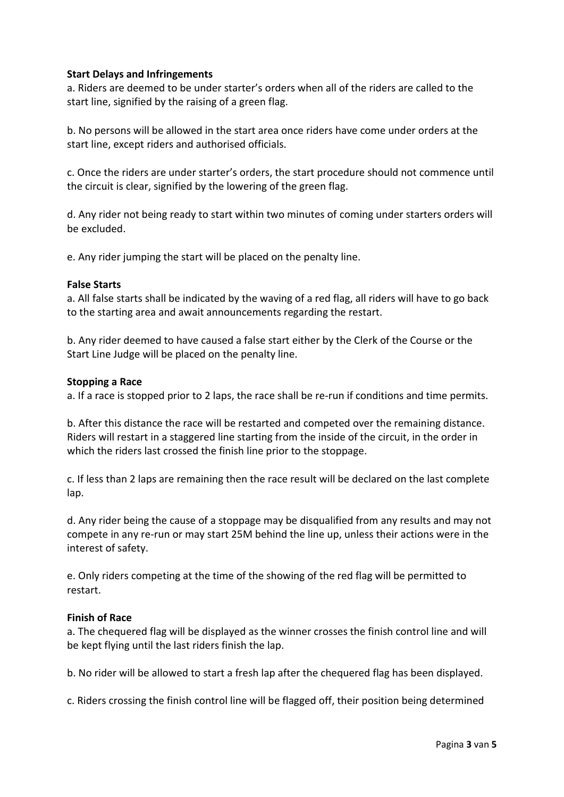## **Start Delays and Infringements**

a. Riders are deemed to be under starter's orders when all of the riders are called to the start line, signified by the raising of a green flag.

b. No persons will be allowed in the start area once riders have come under orders at the start line, except riders and authorised officials.

c. Once the riders are under starter's orders, the start procedure should not commence until the circuit is clear, signified by the lowering of the green flag.

d. Any rider not being ready to start within two minutes of coming under starters orders will be excluded.

e. Any rider jumping the start will be placed on the penalty line.

### **False Starts**

a. All false starts shall be indicated by the waving of a red flag, all riders will have to go back to the starting area and await announcements regarding the restart.

b. Any rider deemed to have caused a false start either by the Clerk of the Course or the Start Line Judge will be placed on the penalty line.

### **Stopping a Race**

a. If a race is stopped prior to 2 laps, the race shall be re-run if conditions and time permits.

b. After this distance the race will be restarted and competed over the remaining distance. Riders will restart in a staggered line starting from the inside of the circuit, in the order in which the riders last crossed the finish line prior to the stoppage.

c. If less than 2 laps are remaining then the race result will be declared on the last complete lap.

d. Any rider being the cause of a stoppage may be disqualified from any results and may not compete in any re-run or may start 25M behind the line up, unless their actions were in the interest of safety.

e. Only riders competing at the time of the showing of the red flag will be permitted to restart.

### **Finish of Race**

a. The chequered flag will be displayed as the winner crosses the finish control line and will be kept flying until the last riders finish the lap.

b. No rider will be allowed to start a fresh lap after the chequered flag has been displayed.

c. Riders crossing the finish control line will be flagged off, their position being determined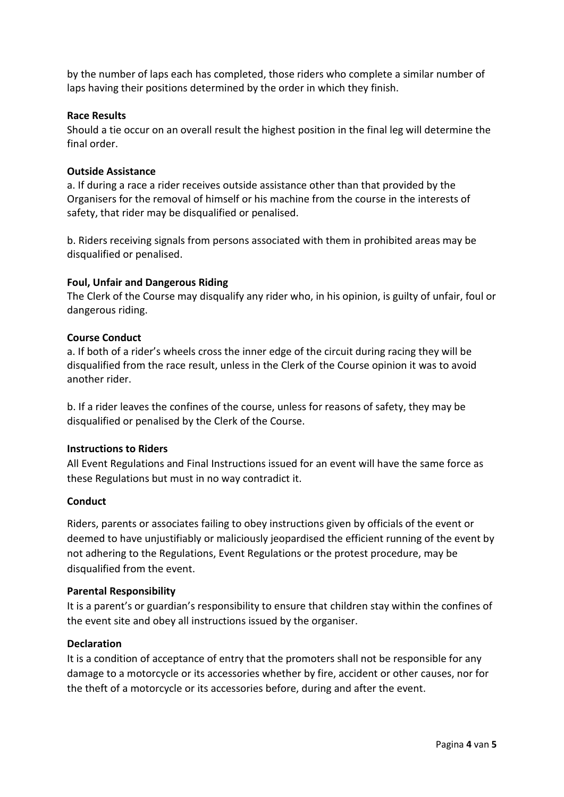by the number of laps each has completed, those riders who complete a similar number of laps having their positions determined by the order in which they finish.

## **Race Results**

Should a tie occur on an overall result the highest position in the final leg will determine the final order.

# **Outside Assistance**

a. If during a race a rider receives outside assistance other than that provided by the Organisers for the removal of himself or his machine from the course in the interests of safety, that rider may be disqualified or penalised.

b. Riders receiving signals from persons associated with them in prohibited areas may be disqualified or penalised.

# **Foul, Unfair and Dangerous Riding**

The Clerk of the Course may disqualify any rider who, in his opinion, is guilty of unfair, foul or dangerous riding.

## **Course Conduct**

a. If both of a rider's wheels cross the inner edge of the circuit during racing they will be disqualified from the race result, unless in the Clerk of the Course opinion it was to avoid another rider.

b. If a rider leaves the confines of the course, unless for reasons of safety, they may be disqualified or penalised by the Clerk of the Course.

## **Instructions to Riders**

All Event Regulations and Final Instructions issued for an event will have the same force as these Regulations but must in no way contradict it.

## **Conduct**

Riders, parents or associates failing to obey instructions given by officials of the event or deemed to have unjustifiably or maliciously jeopardised the efficient running of the event by not adhering to the Regulations, Event Regulations or the protest procedure, may be disqualified from the event.

## **Parental Responsibility**

It is a parent's or guardian's responsibility to ensure that children stay within the confines of the event site and obey all instructions issued by the organiser.

## **Declaration**

It is a condition of acceptance of entry that the promoters shall not be responsible for any damage to a motorcycle or its accessories whether by fire, accident or other causes, nor for the theft of a motorcycle or its accessories before, during and after the event.